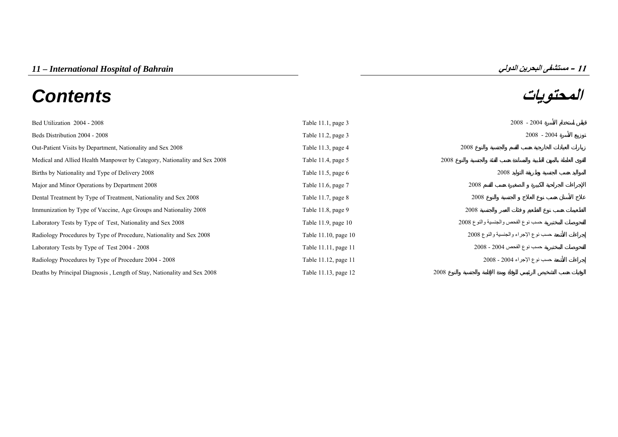# **المحتويات** *Contents*



| Bed Utilization 2004 - 2008                                              | Table 11.1, page 3      | $2008 - 2004$                        |
|--------------------------------------------------------------------------|-------------------------|--------------------------------------|
| Beds Distribution 2004 - 2008                                            | Table 11.2, page 3      | $2008 - 2004$                        |
| Out-Patient Visits by Department, Nationality and Sex 2008               | Table $11.3$ , page $4$ | 2008                                 |
| Medical and Allied Health Manpower by Category, Nationality and Sex 2008 | Table 11.4, page $5$    | 2008                                 |
| Births by Nationality and Type of Delivery 2008                          | Table 11.5, page 6      | 2008                                 |
| Major and Minor Operations by Department 2008                            | Table 11.6, page 7      | 2008                                 |
| Dental Treatment by Type of Treatment, Nationality and Sex 2008          | Table 11.7, page $8$    | 2008                                 |
| Immunization by Type of Vaccine, Age Groups and Nationality 2008         | Table $11.8$ , page $9$ | 2008                                 |
| Laboratory Tests by Type of Test, Nationality and Sex 2008               | Table 11.9, page 10     | حسب نوع الفحص والجنسية والنوع 2008   |
| Radiology Procedures by Type of Procedure, Nationality and Sex 2008      | Table 11.10, page 10    | حسب نوع الإجراء والجنسية والنوع 2008 |
| Laboratory Tests by Type of Test 2004 - 2008                             | Table 11.11, page 11    | حسب نو ع الفحص 2004 - 2008           |
| Radiology Procedures by Type of Procedure 2004 - 2008                    | Table 11.12, page 11    | حسب نوع الإجراء 2004 - 2008          |
| Deaths by Principal Diagnosis, Length of Stay, Nationality and Sex 2008  | Table 11.13, page 12    | 2008                                 |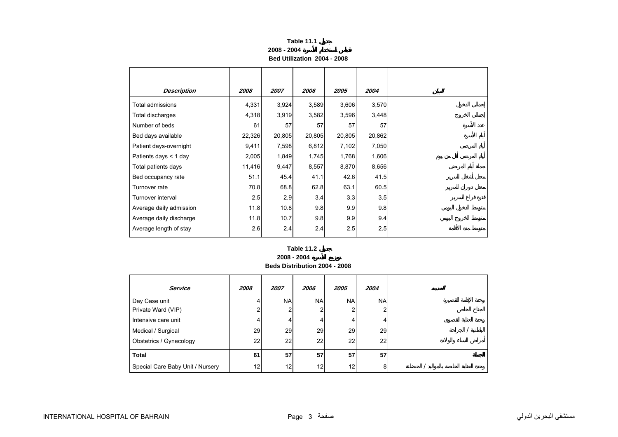# **Table 11.1 2008 - 2004Bed Utilization 2004 - 2008**

<span id="page-2-0"></span>

| <b>Description</b>      | 2008   | 2007   | 2006   | 2005   | 2004   |
|-------------------------|--------|--------|--------|--------|--------|
| Total admissions        | 4,331  | 3,924  | 3,589  | 3,606  | 3,570  |
| Total discharges        | 4,318  | 3,919  | 3,582  | 3,596  | 3,448  |
| Number of beds          | 61     | 57     | 57     | 57     | 57     |
| Bed days available      | 22,326 | 20,805 | 20,805 | 20,805 | 20,862 |
| Patient days-overnight  | 9,411  | 7,598  | 6,812  | 7,102  | 7,050  |
| Patients days $<$ 1 day | 2,005  | 1,849  | 1,745  | 1,768  | 1,606  |
| Total patients days     | 11,416 | 9,447  | 8,557  | 8,870  | 8,656  |
| Bed occupancy rate      | 51.1   | 45.4   | 41.1   | 42.6   | 41.5   |
| Turnover rate           | 70.8   | 68.8   | 62.8   | 63.1   | 60.5   |
| Turnover interval       | 2.5    | 2.9    | 3.4    | 3.3    | 3.5    |
| Average daily admission | 11.8   | 10.8   | 9.8    | 9.9    | 9.8    |
| Average daily discharge | 11.8   | 10.7   | 9.8    | 9.9    | 9.4    |
| Average length of stay  | 2.6    | 2.4    | 2.4    | 2.5    | 2.5    |

### **2008 - 2004 Table 11.2**

**Beds Distribution 2004 - 2008** 

| <b>Service</b>                   | 2008 | 2007      | 2006      | 2005      | 2004       |  |  |
|----------------------------------|------|-----------|-----------|-----------|------------|--|--|
| Day Case unit                    | 4    | <b>NA</b> | <b>NA</b> | <b>NA</b> | <b>NAI</b> |  |  |
| Private Ward (VIP)               |      |           | 2         | ≘         |            |  |  |
| Intensive care unit              | 4    | 4         | 4         | 4         |            |  |  |
| Medical / Surgical               | 29   | 29        | 29        | 29        | 29         |  |  |
| Obstetrics / Gynecology          | 22   | 22        | 22        | 22        | 22         |  |  |
| <b>Total</b>                     | 61   | 57        | 57        | 57        | 57         |  |  |
| Special Care Baby Unit / Nursery | 12   | 12        | 12        | 12        | 8          |  |  |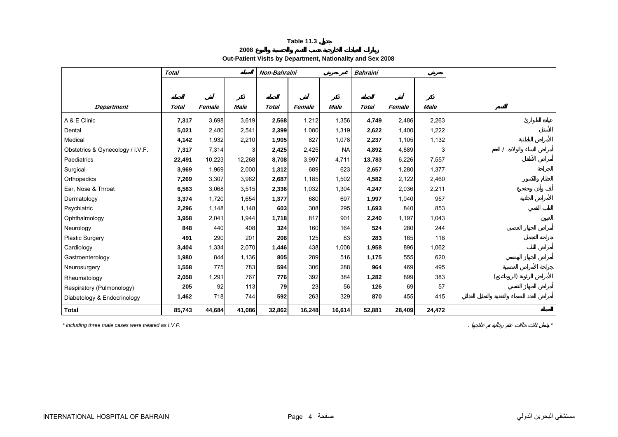**2008**

**Out-Patient Visits by Department, Nationality and Sex 2008** 

<span id="page-3-0"></span>

|                                  | <b>Total</b> |        |             | Non-Bahraini |        |             | <b>Bahraini</b> |        |             |  |
|----------------------------------|--------------|--------|-------------|--------------|--------|-------------|-----------------|--------|-------------|--|
|                                  |              |        |             |              |        |             |                 |        |             |  |
|                                  |              |        |             |              |        |             |                 |        |             |  |
| <b>Department</b>                | Total        | Female | <b>Male</b> | <b>Total</b> | Female | <b>Male</b> | <b>Total</b>    | Female | <b>Male</b> |  |
| A & E Clinic                     | 7,317        | 3,698  | 3,619       | 2,568        | 1,212  | 1,356       | 4,749           | 2,486  | 2,263       |  |
| Dental                           | 5,021        | 2,480  | 2,541       | 2,399        | 1,080  | 1,319       | 2,622           | 1,400  | 1,222       |  |
| Medical                          | 4,142        | 1,932  | 2,210       | 1,905        | 827    | 1,078       | 2,237           | 1,105  | 1,132       |  |
| Obstetrics & Gynecology / I.V.F. | 7,317        | 7,314  | 3           | 2,425        | 2,425  | <b>NA</b>   | 4,892           | 4,889  |             |  |
| Paediatrics                      | 22,491       | 10,223 | 12,268      | 8,708        | 3,997  | 4,711       | 13,783          | 6,226  | 7,557       |  |
| Surgical                         | 3,969        | 1,969  | 2,000       | 1,312        | 689    | 623         | 2,657           | 1,280  | 1,377       |  |
| Orthopedics                      | 7,269        | 3,307  | 3,962       | 2,687        | 1,185  | 1,502       | 4,582           | 2,122  | 2,460       |  |
| Ear, Nose & Throat               | 6,583        | 3,068  | 3,515       | 2,336        | 1,032  | 1,304       | 4,247           | 2,036  | 2,211       |  |
| Dermatology                      | 3,374        | 1,720  | 1,654       | 1,377        | 680    | 697         | 1,997           | 1,040  | 957         |  |
| Psychiatric                      | 2,296        | 1,148  | 1,148       | 603          | 308    | 295         | 1,693           | 840    | 853         |  |
| Ophthalmology                    | 3,958        | 2,041  | 1,944       | 1,718        | 817    | 901         | 2,240           | 1,197  | 1,043       |  |
| Neurology                        | 848          | 440    | 408         | 324          | 160    | 164         | 524             | 280    | 244         |  |
| <b>Plastic Surgery</b>           | 491          | 290    | 201         | 208          | 125    | 83          | 283             | 165    | 118         |  |
| Cardiology                       | 3,404        | 1,334  | 2,070       | 1,446        | 438    | 1,008       | 1,958           | 896    | 1,062       |  |
| Gastroenterology                 | 1,980        | 844    | 1,136       | 805          | 289    | 516         | 1,175           | 555    | 620         |  |
| Neurosurgery                     | 1,558        | 775    | 783         | 594          | 306    | 288         | 964             | 469    | 495         |  |
| Rheumatology                     | 2,058        | 1,291  | 767         | 776          | 392    | 384         | 1,282           | 899    | 383         |  |
| Respiratory (Pulmonology)        | 205          | 92     | 113         | 79           | 23     | 56          | 126             | 69     | 57          |  |
| Diabetology & Endocrinology      | 1,462        | 718    | 744         | 592          | 263    | 329         | 870             | 455    | 415         |  |
| <b>Total</b>                     | 85,743       | 44,684 | 41,086      | 32,862       | 16,248 | 16,614      | 52,881          | 28,409 | 24,472      |  |

*\* including three male cases were treated as I.V.F.* . *\**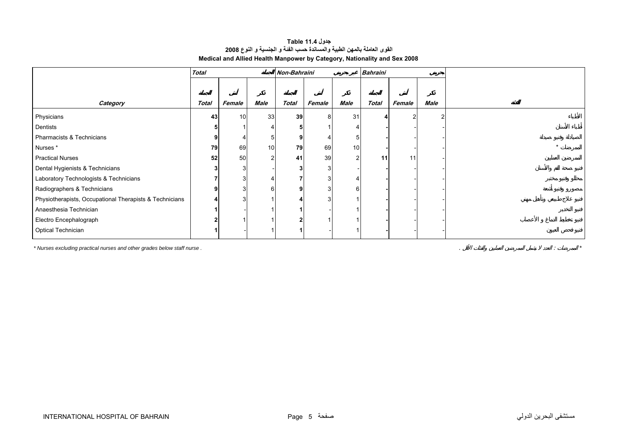| جدول Table 11.4                                                          |  |
|--------------------------------------------------------------------------|--|
| القوى العاملة بالمهن الطبية والمساندة حسب الفنة و الجنسية و النوع 2008   |  |
| Medical and Allied Health Manpower by Category, Nationality and Sex 2008 |  |

<span id="page-4-0"></span>

|                                                         | <b>Total</b> |        |                | Non-Bahraini |        |                 | <b>Bahraini</b> |        |      |  |
|---------------------------------------------------------|--------------|--------|----------------|--------------|--------|-----------------|-----------------|--------|------|--|
|                                                         |              |        |                |              |        |                 |                 |        |      |  |
| Category                                                | <b>Total</b> | Female | Male           | <b>Total</b> | Female | Male            | <b>Total</b>    | Female | Male |  |
|                                                         |              |        |                |              |        |                 |                 |        |      |  |
| Physicians                                              | 43           | 10     | 33             | 39           | 8      | 31              |                 | っ      |      |  |
| Dentists                                                |              |        |                |              |        |                 |                 |        |      |  |
| Pharmacists & Technicians                               |              |        | 5              |              |        |                 |                 |        |      |  |
| Nurses *                                                | 79           | 69     | 10             | 79           | 69     | 10 <sup>1</sup> |                 |        |      |  |
| <b>Practical Nurses</b>                                 | 52           | 50     | $\overline{2}$ | 41           | 39     | $\mathfrak{p}$  | 11              | 11     |      |  |
| Dental Hygienists & Technicians                         |              |        |                |              | 3      |                 |                 |        |      |  |
| Laboratory Technologists & Technicians                  |              | 3      |                |              |        |                 |                 |        |      |  |
| Radiographers & Technicians                             |              | 3      | 6              |              | 3      | 6               |                 |        |      |  |
| Physiotherapists, Occupational Therapists & Technicians |              | 3      |                |              |        |                 |                 |        |      |  |
| Anaesthesia Technician                                  |              |        |                |              |        |                 |                 |        |      |  |
| Electro Encephalograph                                  |              |        |                |              |        |                 |                 |        |      |  |
| Optical Technician                                      |              |        |                |              |        |                 |                 |        |      |  |

*\* Nurses excluding practical nurses and other grades below staff nurse .* . : *\**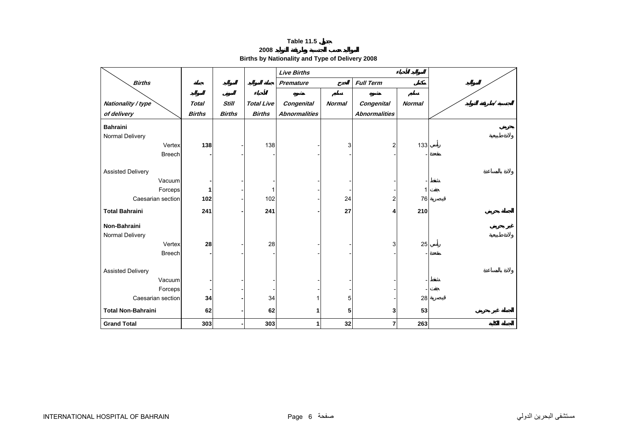**2008**

**Births by Nationality and Type of Delivery 2008** 

<span id="page-5-0"></span>

|                           |               |               |                   | <b>Live Births</b>   |               |                      |               |  |
|---------------------------|---------------|---------------|-------------------|----------------------|---------------|----------------------|---------------|--|
| <b>Births</b>             |               |               |                   | Premature            |               | <b>Full Term</b>     |               |  |
|                           |               |               |                   |                      |               |                      |               |  |
| Nationality / type        | <b>Total</b>  | <b>Still</b>  | <b>Total Live</b> | Congenital           | <b>Normal</b> | Congenital           | <b>Normal</b> |  |
| of delivery               | <b>Births</b> | <b>Births</b> | <b>Births</b>     | <b>Abnormalities</b> |               | <b>Abnormalities</b> |               |  |
| <b>Bahraini</b>           |               |               |                   |                      |               |                      |               |  |
| Normal Delivery           |               |               |                   |                      |               |                      |               |  |
| Vertex                    | 138           |               | 138               |                      | 3             | $\overline{2}$       | 133           |  |
| <b>Breech</b>             |               |               |                   |                      |               |                      |               |  |
|                           |               |               |                   |                      |               |                      |               |  |
| <b>Assisted Delivery</b>  |               |               |                   |                      |               |                      |               |  |
| Vacuum                    |               |               |                   |                      |               |                      |               |  |
| Forceps                   |               |               | 1                 |                      |               |                      | 1             |  |
| Caesarian section         | 102           |               | 102               |                      | 24            | 2                    | 76            |  |
| <b>Total Bahraini</b>     | 241           |               | 241               |                      | 27            | 4                    | 210           |  |
| Non-Bahraini              |               |               |                   |                      |               |                      |               |  |
| Normal Delivery           |               |               |                   |                      |               |                      |               |  |
| Vertex                    | 28            |               | 28                |                      |               | 3                    | 25            |  |
| <b>Breech</b>             |               |               |                   |                      |               |                      |               |  |
|                           |               |               |                   |                      |               |                      |               |  |
| <b>Assisted Delivery</b>  |               |               |                   |                      |               |                      |               |  |
| Vacuum                    |               |               |                   |                      |               |                      |               |  |
| Forceps                   |               |               |                   |                      |               |                      |               |  |
| Caesarian section         | 34            |               | 34                |                      | 5             |                      | 28            |  |
| <b>Total Non-Bahraini</b> | 62            |               | 62                | 1                    | 5             | 3                    | 53            |  |
| <b>Grand Total</b>        | 303           |               | 303               | 1                    | 32            | $\overline{7}$       | 263           |  |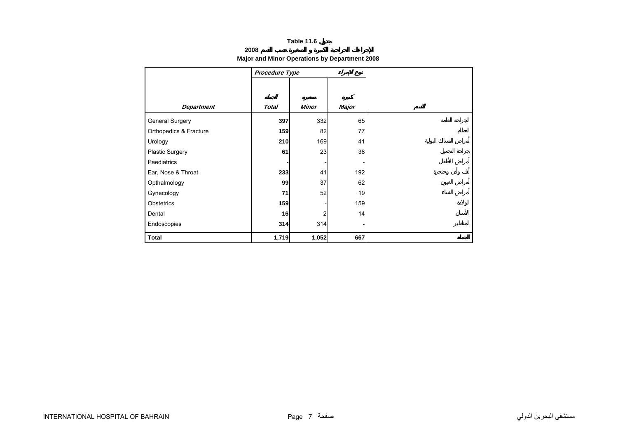# **2008**

# **Major and Minor Operations by Department 2008**

<span id="page-6-0"></span>

|                        | Procedure Type |                |       |
|------------------------|----------------|----------------|-------|
|                        |                |                |       |
|                        |                |                |       |
| <b>Department</b>      | <b>Total</b>   | Minor          | Major |
| <b>General Surgery</b> | 397            | 332            | 65    |
| Orthopedics & Fracture | 159            | 82             | 77    |
| Urology                | 210            | 169            | 41    |
| <b>Plastic Surgery</b> | 61             | 23             | 38    |
| Paediatrics            |                |                |       |
| Ear, Nose & Throat     | 233            | 41             | 192   |
| Opthalmology           | 99             | 37             | 62    |
| Gynecology             | 71             | 52             | 19    |
| Obstetrics             | 159            |                | 159   |
| Dental                 | 16             | $\overline{2}$ | 14    |
| Endoscopies            | 314            | 314            |       |
| <b>Total</b>           | 1,719          | 1,052          | 667   |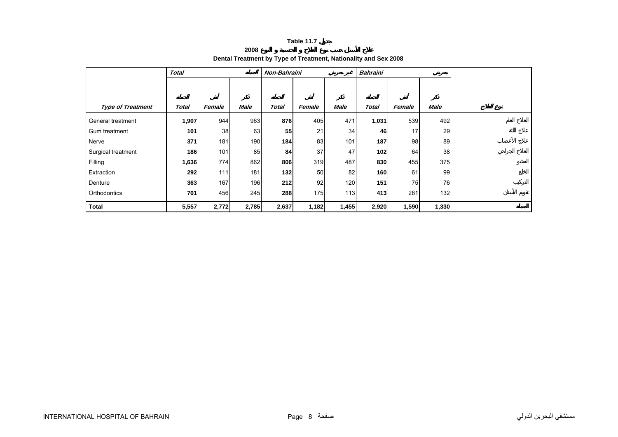# **2008Dental Treatment by Type of Treatment, Nationality and Sex 2008**

<span id="page-7-0"></span>

|                          | <b>Total</b> |        |             | Non-Bahraini |        |       | <b>Bahraini</b> |        |             |  |
|--------------------------|--------------|--------|-------------|--------------|--------|-------|-----------------|--------|-------------|--|
|                          |              |        |             |              |        |       |                 |        |             |  |
|                          |              |        |             |              |        |       |                 |        |             |  |
| <b>Type of Treatment</b> | <b>Total</b> | Female | <b>Male</b> | <b>Total</b> | Female | Male  | <b>Total</b>    | Female | <b>Male</b> |  |
| General treatment        | 1,907        | 944    | 963         | 876          | 405    | 471   | 1,031           | 539    | 492         |  |
| Gum treatment            | 101          | 38     | 63          | 55           | 21     | 34    | 46              | 17     | 29          |  |
| Nerve                    | 371          | 181    | 190         | 184          | 83     | 101   | 187             | 98     | 89          |  |
| Surgical treatment       | 186          | 101    | 85          | 84           | 37     | 47    | 102             | 64     | 38          |  |
| Filling                  | 1,636        | 774    | 862         | 806          | 319    | 487   | 830             | 455    | 375         |  |
| Extraction               | 292          | 111    | 181         | $132$        | 50     | 82    | 160             | 61     | 99          |  |
| Denture                  | 363          | 167    | 196         | 212          | 92     | 120   | 151             | 75     | 76          |  |
| Orthodontics             | 701          | 456    | 245         | 288          | 175    | 113   | 413             | 281    | 132         |  |
| <b>Total</b>             | 5,557        | 2,772  | 2,785       | 2,637        | 1,182  | 1,455 | 2,920           | 1,590  | 1,330       |  |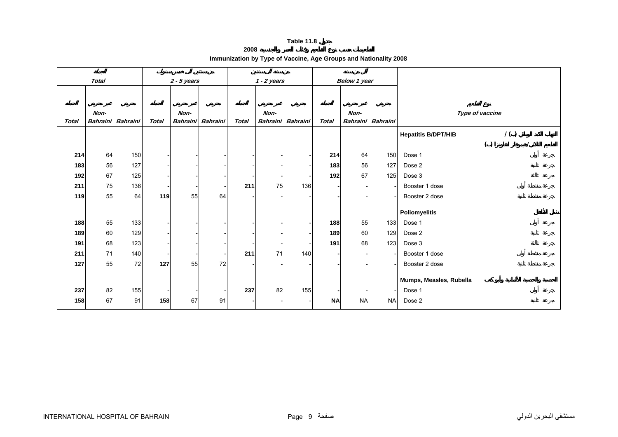**2008**

|  |  |  |  | Immunization by Type of Vaccine, Age Groups and Nationality 2008 |
|--|--|--|--|------------------------------------------------------------------|
|--|--|--|--|------------------------------------------------------------------|

<span id="page-8-0"></span>

|       | <b>Total</b>            |                 |              | $2 - 5$ years           |                 |              | $1 - 2$ years           |                          |              | <b>Below 1 year</b>     |                 |                            |                 |     |  |
|-------|-------------------------|-----------------|--------------|-------------------------|-----------------|--------------|-------------------------|--------------------------|--------------|-------------------------|-----------------|----------------------------|-----------------|-----|--|
|       |                         |                 |              |                         |                 |              |                         |                          |              |                         |                 |                            |                 |     |  |
| Total | Non-<br><b>Bahraini</b> | <b>Bahraini</b> | <b>Total</b> | Non-<br><b>Bahraini</b> | <b>Bahraini</b> | <b>Total</b> | Non-<br><b>Bahraini</b> | <b>Bahraini</b>          | <b>Total</b> | Non-<br><b>Bahraini</b> | <b>Bahraini</b> |                            | Type of vaccine |     |  |
|       |                         |                 |              |                         |                 |              |                         |                          |              |                         |                 | <b>Hepatitis B/DPT/HIB</b> |                 | 1() |  |
|       |                         |                 |              |                         |                 |              |                         |                          |              |                         |                 |                            | ( )             |     |  |
| 214   | 64                      | 150             |              |                         |                 |              |                         |                          | 214          | 64                      | 150             | Dose 1                     |                 |     |  |
| 183   | 56                      | 127             |              |                         |                 |              |                         |                          | 183          | 56                      | 127             | Dose 2                     |                 |     |  |
| 192   | 67                      | 125             |              |                         |                 |              |                         |                          | 192          | 67                      | 125             | Dose 3                     |                 |     |  |
| 211   | 75                      | 136             |              |                         |                 | 211          | 75                      | 136                      |              |                         |                 | Booster 1 dose             |                 |     |  |
| 119   | 55                      | 64              | 119          | 55                      | 64              |              |                         |                          |              |                         |                 | Booster 2 dose             |                 |     |  |
|       |                         |                 |              |                         |                 |              |                         |                          |              |                         |                 | <b>Poliomyelitis</b>       |                 |     |  |
| 188   | 55                      | 133             |              |                         |                 |              |                         |                          | 188          | 55                      | 133             | Dose 1                     |                 |     |  |
| 189   | 60                      | 129             |              |                         |                 |              |                         |                          | 189          | 60                      | 129             | Dose 2                     |                 |     |  |
| 191   | 68                      | 123             |              |                         |                 |              |                         | $\overline{\phantom{a}}$ | 191          | 68                      | 123             | Dose 3                     |                 |     |  |
| 211   | 71                      | 140             |              |                         |                 | 211          | 71                      | 140                      |              |                         |                 | Booster 1 dose             |                 |     |  |
| 127   | 55                      | 72              | 127          | 55                      | 72              |              |                         |                          |              |                         |                 | Booster 2 dose             |                 |     |  |
|       |                         |                 |              |                         |                 |              |                         |                          |              |                         |                 |                            |                 |     |  |
|       |                         |                 |              |                         |                 |              |                         |                          |              |                         |                 | Mumps, Measles, Rubella    |                 |     |  |
| 237   | 82                      | 155             |              |                         |                 | 237          | 82                      | 155                      |              |                         |                 | Dose 1                     |                 |     |  |
| 158   | 67                      | 91              | 158          | 67                      | 91              |              |                         |                          | <b>NA</b>    | <b>NA</b>               | <b>NA</b>       | Dose 2                     |                 |     |  |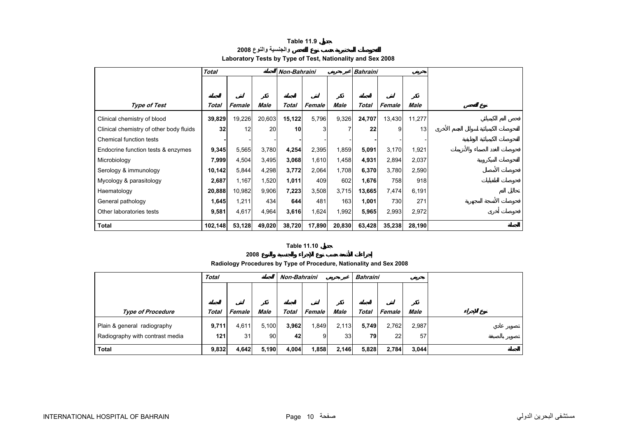# **والجنسية والنوع <sup>2008</sup> Laboratory Tests by Type of Test, Nationality and Sex 2008**

<span id="page-9-0"></span>

|                                         | <b>Total</b> |        |        |        | Non-Bahraini<br><b>Bahraini</b> |             |              |        |        |
|-----------------------------------------|--------------|--------|--------|--------|---------------------------------|-------------|--------------|--------|--------|
|                                         |              |        |        |        |                                 |             |              |        |        |
|                                         |              |        |        |        |                                 |             |              |        |        |
| <b>Type of Test</b>                     | Total        | Female | Male   | Total  | Female                          | <b>Male</b> | <b>Total</b> | Female | Male   |
| Clinical chemistry of blood             | 39,829       | 19,226 | 20,603 | 15,122 | 5,796                           | 9,326       | 24,707       | 13,430 | 11,277 |
| Clinical chemistry of other body fluids | 32           | 12     | 20     | 10     | 3                               |             | 22           | 9      | 13     |
| Chemical function tests                 |              |        |        |        |                                 |             |              |        |        |
| Endocrine function tests & enzymes      | 9,345        | 5,565  | 3,780  | 4,254  | 2,395                           | 1,859       | 5,091        | 3,170  | 1,921  |
| Microbiology                            | 7,999        | 4,504  | 3,495  | 3,068  | 1,610                           | 1,458       | 4,931        | 2,894  | 2,037  |
| Serology & immunology                   | 10,142       | 5,844  | 4,298  | 3,772  | 2,064                           | 1,708       | 6,370        | 3,780  | 2,590  |
| Mycology & parasitology                 | 2,687        | 1,167  | 1,520  | 1,011  | 409                             | 602         | 1,676        | 758    | 918    |
| Haematology                             | 20,888       | 10,982 | 9,906  | 7,223  | 3,508                           | 3,715       | 13,665       | 7,474  | 6,191  |
| General pathology                       | 1,645        | 1,211  | 434    | 644    | 481                             | 163         | 1,001        | 730    | 271    |
| Other laboratories tests                | 9,581        | 4,617  | 4,964  | 3,616  | 1,624                           | 1,992       | 5,965        | 2,993  | 2,972  |
| <b>Total</b>                            | 102,148      | 53,128 | 49,020 | 38,720 | 17,890                          | 20,830      | 63,428       | 35,238 | 28,190 |

#### **Table 11.10**

**2008**

## **Radiology Procedures by Type of Procedure, Nationality and Sex 2008**

|                                 | <b>Total</b> |        |       | Non-Bahraini |        |                 | <b>Bahraini</b> |               |             |  |
|---------------------------------|--------------|--------|-------|--------------|--------|-----------------|-----------------|---------------|-------------|--|
|                                 |              |        |       |              |        |                 |                 |               |             |  |
|                                 |              |        |       |              |        |                 |                 |               |             |  |
| <b>Type of Procedure</b>        | Total        | Female | Male  | Total        | Female | <b>Male</b>     | Total           | <b>Female</b> | <b>Male</b> |  |
| Plain & general radiography     | 9,711        | 4.611  | 5,100 | 3,962        | 1,849  | 2,113           | 5,749           | 2,762         | 2,987       |  |
| Radiography with contrast media | 121          | 31     | 90    | 42           | 9      | 33 <sup>1</sup> | 79              | 22            | 57          |  |
| Total                           | 9,832        | 4,642  | 5,190 | 4,004        | 1,858  | 2,146           | 5,828           | 2,784         | 3,044       |  |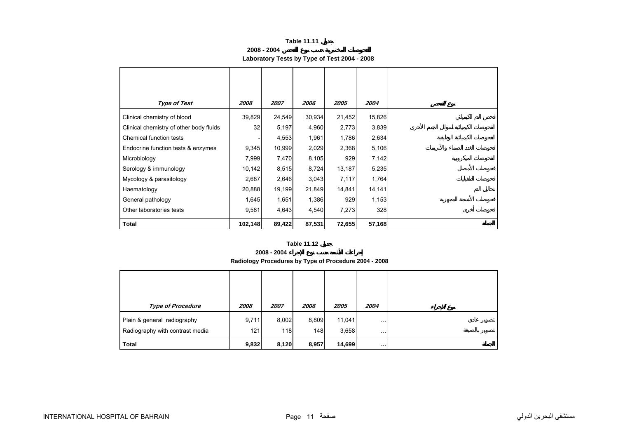**2008 - 2004**

# **Laboratory Tests by Type of Test 2004 - 2008**

<span id="page-10-0"></span>

| <b>Type of Test</b>                     | 2008    | 2007   | 2006   | 2005   | 2004   |
|-----------------------------------------|---------|--------|--------|--------|--------|
| Clinical chemistry of blood             | 39,829  | 24,549 | 30,934 | 21,452 | 15,826 |
| Clinical chemistry of other body fluids | 32      | 5,197  | 4,960  | 2,773  | 3,839  |
| Chemical function tests                 |         | 4,553  | 1,961  | 1,786  | 2,634  |
| Endocrine function tests & enzymes      | 9,345   | 10,999 | 2,029  | 2,368  | 5,106  |
| Microbiology                            | 7,999   | 7,470  | 8,105  | 929    | 7,142  |
| Serology & immunology                   | 10,142  | 8,515  | 8,724  | 13,187 | 5,235  |
| Mycology & parasitology                 | 2,687   | 2,646  | 3,043  | 7,117  | 1,764  |
| Haematology                             | 20,888  | 19,199 | 21,849 | 14,841 | 14,141 |
| General pathology                       | 1,645   | 1,651  | 1,386  | 929    | 1,153  |
| Other laboratories tests                | 9,581   | 4,643  | 4,540  | 7,273  | 328    |
| <b>Total</b>                            | 102,148 | 89,422 | 87,531 | 72,655 | 57,168 |

#### **Table 11.12**

#### **2008 - 2004**

**Radiology Procedures by Type of Procedure 2004 - 2008**

| <b>Type of Procedure</b>                                       | 2008         | 2007         | 2006         | 2005            | 2004          |  |
|----------------------------------------------------------------|--------------|--------------|--------------|-----------------|---------------|--|
| Plain & general radiography<br>Radiography with contrast media | 9,711<br>121 | 8,002<br>118 | 8,809<br>148 | 11,041<br>3,658 | .<br>$\cdots$ |  |
| <b>Total</b>                                                   | 9,832        | 8,120        | 8,957        | 14,699          | $\cdots$      |  |